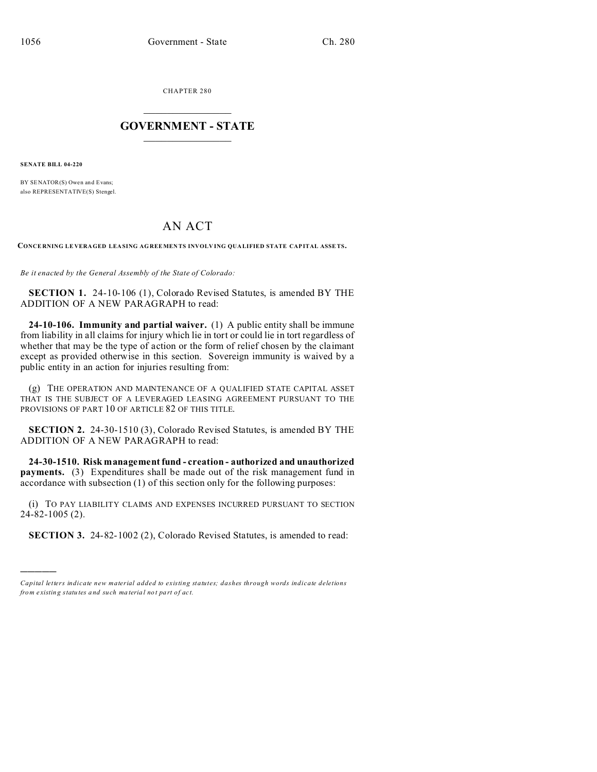CHAPTER 280  $\overline{\phantom{a}}$  , where  $\overline{\phantom{a}}$ 

## **GOVERNMENT - STATE**  $\_$   $\_$   $\_$   $\_$   $\_$   $\_$   $\_$   $\_$   $\_$

**SENATE BILL 04-220**

)))))

BY SENATOR(S) Owen and Evans; also REPRESENTATIVE(S) Stengel.

## AN ACT

**CONCE RNING LE VERAGED LEASING AGREEMEN TS INVOLV ING QUA LIFIED STATE CAPITAL ASSETS.**

*Be it enacted by the General Assembly of the State of Colorado:*

**SECTION 1.** 24-10-106 (1), Colorado Revised Statutes, is amended BY THE ADDITION OF A NEW PARAGRAPH to read:

**24-10-106. Immunity and partial waiver.** (1) A public entity shall be immune from liability in all claims for injury which lie in tort or could lie in tort regardless of whether that may be the type of action or the form of relief chosen by the claimant except as provided otherwise in this section. Sovereign immunity is waived by a public entity in an action for injuries resulting from:

(g) THE OPERATION AND MAINTENANCE OF A QUALIFIED STATE CAPITAL ASSET THAT IS THE SUBJECT OF A LEVERAGED LEASING AGREEMENT PURSUANT TO THE PROVISIONS OF PART 10 OF ARTICLE 82 OF THIS TITLE.

**SECTION 2.** 24-30-1510 (3), Colorado Revised Statutes, is amended BY THE ADDITION OF A NEW PARAGRAPH to read:

**24-30-1510. Risk management fund - creation - authorized and unauthorized payments.** (3) Expenditures shall be made out of the risk management fund in accordance with subsection (1) of this section only for the following purposes:

(i) TO PAY LIABILITY CLAIMS AND EXPENSES INCURRED PURSUANT TO SECTION 24-82-1005 (2).

**SECTION 3.** 24-82-1002 (2), Colorado Revised Statutes, is amended to read:

*Capital letters indicate new material added to existing statutes; dashes through words indicate deletions from e xistin g statu tes a nd such ma teria l no t pa rt of ac t.*